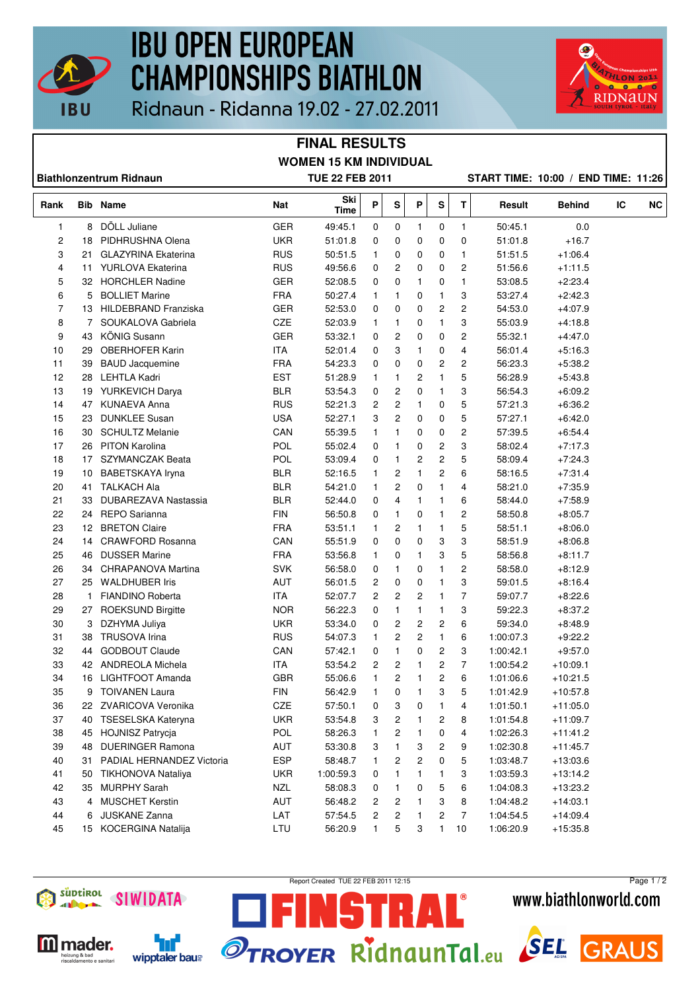

## **IBU OPEN EUROPEAN CHAMPIONSHIPS BIATHLON**



Ridnaun - Ridanna 19.02 - 27.02.2011

## **FINAL RESULTS WOMEN 15 KM INDIVIDUAL**

| <b>Biathlonzentrum Ridnaun</b> |              |                             | <b>TUE 22 FEB 2011</b> |             |              |              |                         |                         |                         |           | START TIME: 10:00 / END TIME: 11:26 |    |           |
|--------------------------------|--------------|-----------------------------|------------------------|-------------|--------------|--------------|-------------------------|-------------------------|-------------------------|-----------|-------------------------------------|----|-----------|
| Rank                           |              | <b>Bib Name</b>             | Nat                    | Ski<br>Time | Ρ            | S            | Ρ                       | S                       | T.                      | Result    | <b>Behind</b>                       | IC | <b>NC</b> |
| 1                              | 8            | DÖLL Juliane                | <b>GER</b>             | 49:45.1     | 0            | 0            | 1                       | 0                       | 1                       | 50:45.1   | 0.0                                 |    |           |
| 2                              | 18           | PIDHRUSHNA Olena            | <b>UKR</b>             | 51:01.8     | 0            | 0            | 0                       | 0                       | 0                       | 51:01.8   | $+16.7$                             |    |           |
| 3                              | 21           | <b>GLAZYRINA Ekaterina</b>  | <b>RUS</b>             | 50:51.5     | $\mathbf{1}$ | 0            | 0                       | 0                       | $\mathbf{1}$            | 51:51.5   | $+1:06.4$                           |    |           |
| 4                              |              | 11 YURLOVA Ekaterina        | <b>RUS</b>             | 49:56.6     | 0            | 2            | 0                       | 0                       | $\overline{c}$          | 51:56.6   | $+1:11.5$                           |    |           |
| 5                              |              | 32 HORCHLER Nadine          | <b>GER</b>             | 52:08.5     | 0            | 0            | 1                       | 0                       | $\mathbf{1}$            | 53:08.5   | $+2:23.4$                           |    |           |
| 6                              | 5            | <b>BOLLIET Marine</b>       | <b>FRA</b>             | 50:27.4     | 1            | $\mathbf{1}$ | 0                       | 1                       | 3                       | 53:27.4   | $+2:42.3$                           |    |           |
| 7                              | 13           | <b>HILDEBRAND Franziska</b> | <b>GER</b>             | 52:53.0     | 0            | 0            | 0                       | 2                       | $\overline{c}$          | 54:53.0   | $+4:07.9$                           |    |           |
| 8                              | 7            | SOUKALOVA Gabriela          | CZE                    | 52:03.9     | $\mathbf{1}$ | 1            | 0                       | 1                       | 3                       | 55:03.9   | $+4:18.8$                           |    |           |
| 9                              | 43           | <b>KÖNIG Susann</b>         | <b>GER</b>             | 53:32.1     | 0            | 2            | 0                       | 0                       | 2                       | 55:32.1   | $+4:47.0$                           |    |           |
| 10                             | 29           | <b>OBERHOFER Karin</b>      | <b>ITA</b>             | 52:01.4     | 0            | 3            | 1                       | 0                       | 4                       | 56:01.4   | $+5:16.3$                           |    |           |
| 11                             | 39           | <b>BAUD Jacquemine</b>      | <b>FRA</b>             | 54:23.3     | 0            | 0            | 0                       | 2                       | $\overline{c}$          | 56:23.3   | $+5:38.2$                           |    |           |
| 12                             | 28           | LEHTLA Kadri                | <b>EST</b>             | 51:28.9     | 1            | 1            | 2                       | 1                       | 5                       | 56:28.9   | $+5:43.8$                           |    |           |
| 13                             |              | 19 YURKEVICH Darya          | <b>BLR</b>             | 53:54.3     | 0            | 2            | 0                       | 1                       | 3                       | 56:54.3   | $+6.09.2$                           |    |           |
| 14                             |              | 47 KUNAEVA Anna             | <b>RUS</b>             | 52:21.3     | 2            | 2            | $\mathbf{1}$            | 0                       | 5                       | 57:21.3   | $+6:36.2$                           |    |           |
| 15                             | 23           | <b>DUNKLEE Susan</b>        | <b>USA</b>             | 52:27.1     | 3            | 2            | 0                       | 0                       | 5                       | 57:27.1   | $+6:42.0$                           |    |           |
| 16                             | 30           | <b>SCHULTZ Melanie</b>      | CAN                    | 55:39.5     | 1            | 1            | 0                       | 0                       | $\overline{\mathbf{c}}$ | 57:39.5   | $+6.54.4$                           |    |           |
| 17                             | 26           | <b>PITON Karolina</b>       | POL                    | 55:02.4     | 0            | 1            | 0                       | 2                       | 3                       | 58:02.4   | $+7:17.3$                           |    |           |
| 18                             |              | 17 SZYMANCZAK Beata         | <b>POL</b>             | 53:09.4     | 0            | 1            | 2                       | $\overline{\mathbf{c}}$ | 5                       | 58:09.4   | $+7:24.3$                           |    |           |
| 19                             | 10           | BABETSKAYA Iryna            | <b>BLR</b>             | 52:16.5     | $\mathbf{1}$ | 2            | $\mathbf{1}$            | 2                       | 6                       | 58:16.5   | $+7:31.4$                           |    |           |
| 20                             | 41           | <b>TALKACH Ala</b>          | <b>BLR</b>             | 54:21.0     | $\mathbf{1}$ | 2            | 0                       | 1                       | 4                       | 58:21.0   | $+7:35.9$                           |    |           |
| 21                             | 33           | DUBAREZAVA Nastassia        | <b>BLR</b>             | 52:44.0     | 0            | 4            | 1                       | 1                       | 6                       | 58:44.0   | $+7:58.9$                           |    |           |
| 22                             |              | 24 REPO Sarianna            | <b>FIN</b>             | 56:50.8     | 0            | $\mathbf{1}$ | 0                       | 1                       | $\overline{c}$          | 58:50.8   | $+8.05.7$                           |    |           |
| 23                             |              | 12 BRETON Claire            | <b>FRA</b>             | 53:51.1     | 1            | 2            | 1                       | 1                       | 5                       | 58:51.1   | $+8:06.0$                           |    |           |
| 24                             | 14           | <b>CRAWFORD Rosanna</b>     | CAN                    | 55:51.9     | 0            | 0            | 0                       | 3                       | 3                       | 58:51.9   | $+8.06.8$                           |    |           |
| 25                             | 46           | <b>DUSSER Marine</b>        | <b>FRA</b>             | 53:56.8     | $\mathbf{1}$ | 0            | 1                       | 3                       | 5                       | 58:56.8   | $+8.11.7$                           |    |           |
| 26                             |              | 34 CHRAPANOVA Martina       | <b>SVK</b>             | 56:58.0     | 0            | 1            | 0                       | 1                       | 2                       | 58:58.0   | $+8:12.9$                           |    |           |
| 27                             |              | 25 WALDHUBER Iris           | AUT                    | 56:01.5     | 2            | 0            | 0                       | 1                       | 3                       | 59:01.5   | $+8.16.4$                           |    |           |
| 28                             | $\mathbf{1}$ | <b>FIANDINO Roberta</b>     | <b>ITA</b>             | 52:07.7     | 2            | 2            | $\overline{\mathbf{c}}$ | 1                       | $\overline{7}$          | 59:07.7   | $+8:22.6$                           |    |           |
| 29                             |              | 27 ROEKSUND Birgitte        | <b>NOR</b>             | 56:22.3     | 0            | 1            | 1                       | 1                       | 3                       | 59:22.3   | $+8.37.2$                           |    |           |
| 30                             | 3            | DZHYMA Juliya               | <b>UKR</b>             | 53:34.0     | 0            | 2            | $\boldsymbol{2}$        | $\overline{\mathbf{c}}$ | 6                       | 59:34.0   | $+8.48.9$                           |    |           |
| 31                             | 38           | <b>TRUSOVA Irina</b>        | <b>RUS</b>             | 54:07.3     | 1            | 2            | $\overline{\mathbf{c}}$ | 1                       | 6                       | 1:00:07.3 | $+9:22.2$                           |    |           |
| 32                             | 44           | <b>GODBOUT Claude</b>       | CAN                    | 57:42.1     | 0            | 1            | 0                       | 2                       | 3                       | 1:00:42.1 | $+9:57.0$                           |    |           |
| 33                             |              | 42 ANDREOLA Michela         | <b>ITA</b>             | 53:54.2     | 2            | 2            | 1                       | 2                       | 7                       | 1:00:54.2 | $+10:09.1$                          |    |           |
| 34                             | 16           | <b>LIGHTFOOT Amanda</b>     | <b>GBR</b>             | 55:06.6     | 1            | 2            | 1                       | 2                       | 6                       | 1:01:06.6 | $+10:21.5$                          |    |           |
| 35                             | 9            | <b>TOIVANEN Laura</b>       | <b>FIN</b>             | 56:42.9     | 1            | 0            | 1                       | 3                       | 5                       | 1:01:42.9 | $+10:57.8$                          |    |           |
| 36                             | 22           | ZVARICOVA Veronika          | CZE                    | 57:50.1     | 0            | 3            | 0                       | 1                       | 4                       | 1:01:50.1 | $+11:05.0$                          |    |           |
| 37                             | 40           | <b>TSESELSKA Kateryna</b>   | <b>UKR</b>             | 53:54.8     | 3            | 2            | 1                       | 2                       | 8                       | 1:01:54.8 | $+11:09.7$                          |    |           |
| 38                             | 45           | HOJNISZ Patrycja            | POL                    | 58:26.3     | 1            | 2            | 1                       | 0                       | 4                       | 1:02:26.3 | $+11:41.2$                          |    |           |
| 39                             | 48           | <b>DUERINGER Ramona</b>     | AUT                    | 53:30.8     | 3            | 1            | 3                       | 2                       | 9                       | 1:02:30.8 | $+11:45.7$                          |    |           |
| 40                             | 31           | PADIAL HERNANDEZ Victoria   | <b>ESP</b>             | 58:48.7     | 1            | 2            | 2                       | 0                       | 5                       | 1:03:48.7 | $+13:03.6$                          |    |           |
| 41                             | 50           | <b>TIKHONOVA Nataliya</b>   | <b>UKR</b>             | 1:00:59.3   | 0            | 1            | 1                       |                         | 3                       | 1:03:59.3 | $+13:14.2$                          |    |           |
| 42                             |              | 35 MURPHY Sarah             | <b>NZL</b>             | 58:08.3     |              | 1            | 0                       | 1<br>5                  | 6                       | 1:04:08.3 | $+13:23.2$                          |    |           |
| 43                             |              | 4 MUSCHET Kerstin           | AUT                    | 56:48.2     | 0<br>2       | 2            | 1                       | 3                       | 8                       | 1:04:48.2 | $+14:03.1$                          |    |           |
| 44                             | 6            | <b>JUSKANE Zanna</b>        | LAT                    | 57:54.5     | 2            | 2            | 1                       | 2                       | 7                       | 1:04:54.5 | $+14:09.4$                          |    |           |
| 45                             |              | 15 KOCERGINA Natalija       | LTU                    | 56:20.9     |              | 5            | 3                       | 1                       | 10                      | 1:06:20.9 | $+15:35.8$                          |    |           |
|                                |              |                             |                        |             |              |              |                         |                         |                         |           |                                     |    |           |





Report Created TUE 22 FEB 2011 12:15

51

AL<sup>®</sup>

N

Page 1 / 2www.biathlonworld.com